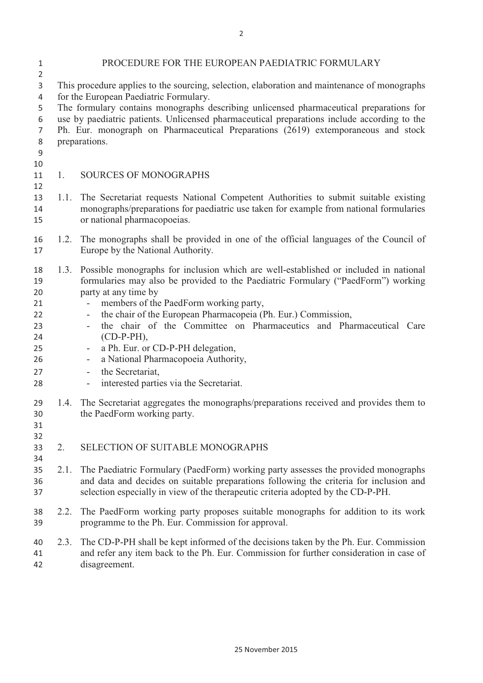| 1<br>$\overline{2}$                                            | PROCEDURE FOR THE EUROPEAN PAEDIATRIC FORMULARY                                                                                                                                                                                                                                                                       |                                                                                                                                                                                                                                                                                                                                                                                                                                                                                                                                                                                                                                                                   |  |
|----------------------------------------------------------------|-----------------------------------------------------------------------------------------------------------------------------------------------------------------------------------------------------------------------------------------------------------------------------------------------------------------------|-------------------------------------------------------------------------------------------------------------------------------------------------------------------------------------------------------------------------------------------------------------------------------------------------------------------------------------------------------------------------------------------------------------------------------------------------------------------------------------------------------------------------------------------------------------------------------------------------------------------------------------------------------------------|--|
| 3                                                              | This procedure applies to the sourcing, selection, elaboration and maintenance of monographs                                                                                                                                                                                                                          |                                                                                                                                                                                                                                                                                                                                                                                                                                                                                                                                                                                                                                                                   |  |
| 4<br>5<br>6<br>7                                               | for the European Paediatric Formulary.<br>The formulary contains monographs describing unlicensed pharmaceutical preparations for<br>use by paediatric patients. Unlicensed pharmaceutical preparations include according to the<br>Ph. Eur. monograph on Pharmaceutical Preparations (2619) extemporaneous and stock |                                                                                                                                                                                                                                                                                                                                                                                                                                                                                                                                                                                                                                                                   |  |
| 8<br>9<br>10                                                   |                                                                                                                                                                                                                                                                                                                       | preparations.                                                                                                                                                                                                                                                                                                                                                                                                                                                                                                                                                                                                                                                     |  |
| 11<br>12                                                       | 1.                                                                                                                                                                                                                                                                                                                    | <b>SOURCES OF MONOGRAPHS</b>                                                                                                                                                                                                                                                                                                                                                                                                                                                                                                                                                                                                                                      |  |
| 13<br>14<br>15                                                 | 1.1.                                                                                                                                                                                                                                                                                                                  | The Secretariat requests National Competent Authorities to submit suitable existing<br>monographs/preparations for paediatric use taken for example from national formularies<br>or national pharmacopoeias.                                                                                                                                                                                                                                                                                                                                                                                                                                                      |  |
| 16<br>17                                                       | 1.2.                                                                                                                                                                                                                                                                                                                  | The monographs shall be provided in one of the official languages of the Council of<br>Europe by the National Authority.                                                                                                                                                                                                                                                                                                                                                                                                                                                                                                                                          |  |
| 18<br>19<br>20<br>21<br>22<br>23<br>24<br>25<br>26<br>27<br>28 | 1.3.                                                                                                                                                                                                                                                                                                                  | Possible monographs for inclusion which are well-established or included in national<br>formularies may also be provided to the Paediatric Formulary ("PaedForm") working<br>party at any time by<br>members of the PaedForm working party,<br>the chair of the European Pharmacopeia (Ph. Eur.) Commission,<br>$\overline{\phantom{0}}$<br>the chair of the Committee on Pharmaceutics and Pharmaceutical Care<br>$\overline{\phantom{0}}$<br>$(CD-P-PH),$<br>a Ph. Eur. or CD-P-PH delegation,<br>-<br>a National Pharmacopoeia Authority,<br>-<br>the Secretariat,<br>$\qquad \qquad -$<br>interested parties via the Secretariat.<br>$\overline{\phantom{0}}$ |  |
| 29<br>30<br>31<br>32                                           | 1.4.                                                                                                                                                                                                                                                                                                                  | The Secretariat aggregates the monographs/preparations received and provides them to<br>the PaedForm working party.                                                                                                                                                                                                                                                                                                                                                                                                                                                                                                                                               |  |
| 33<br>34                                                       | 2.                                                                                                                                                                                                                                                                                                                    | SELECTION OF SUITABLE MONOGRAPHS                                                                                                                                                                                                                                                                                                                                                                                                                                                                                                                                                                                                                                  |  |
| 35<br>36<br>37                                                 | 2.1.                                                                                                                                                                                                                                                                                                                  | The Paediatric Formulary (PaedForm) working party assesses the provided monographs<br>and data and decides on suitable preparations following the criteria for inclusion and<br>selection especially in view of the therapeutic criteria adopted by the CD-P-PH.                                                                                                                                                                                                                                                                                                                                                                                                  |  |
| 38<br>39                                                       | 2.2.                                                                                                                                                                                                                                                                                                                  | The PaedForm working party proposes suitable monographs for addition to its work<br>programme to the Ph. Eur. Commission for approval.                                                                                                                                                                                                                                                                                                                                                                                                                                                                                                                            |  |
| 40<br>41<br>42                                                 | 2.3.                                                                                                                                                                                                                                                                                                                  | The CD-P-PH shall be kept informed of the decisions taken by the Ph. Eur. Commission<br>and refer any item back to the Ph. Eur. Commission for further consideration in case of<br>disagreement.                                                                                                                                                                                                                                                                                                                                                                                                                                                                  |  |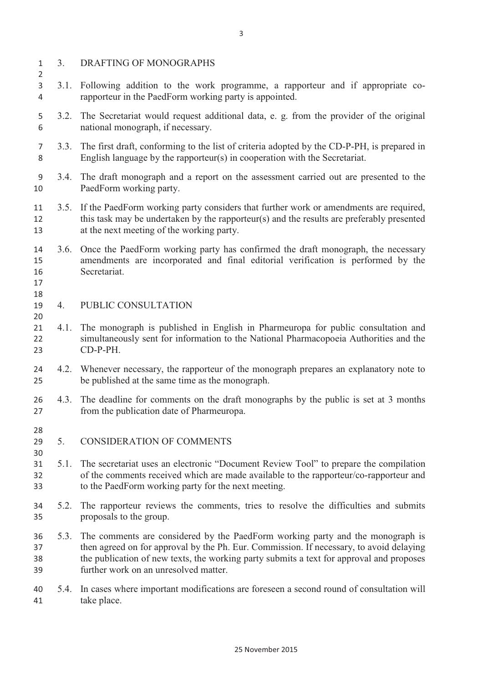3. DRAFTING OF MONOGRAPHS 3.1. Following addition to the work programme, a rapporteur and if appropriate co- rapporteur in the PaedForm working party is appointed. 3.2. The Secretariat would request additional data, e. g. from the provider of the original national monograph, if necessary. 3.3. The first draft, conforming to the list of criteria adopted by the CD-P-PH, is prepared in English language by the rapporteur(s) in cooperation with the Secretariat. 3.4. The draft monograph and a report on the assessment carried out are presented to the PaedForm working party. 3.5. If the PaedForm working party considers that further work or amendments are required, this task may be undertaken by the rapporteur(s) and the results are preferably presented at the next meeting of the working party. 3.6. Once the PaedForm working party has confirmed the draft monograph, the necessary amendments are incorporated and final editorial verification is performed by the Secretariat. 17<br>18<br>19 4. PUBLIC CONSULTATION 20<br>21 4.1. The monograph is published in English in Pharmeuropa for public consultation and simultaneously sent for information to the National Pharmacopoeia Authorities and the CD-P-PH. 4.2. Whenever necessary, the rapporteur of the monograph prepares an explanatory note to be published at the same time as the monograph. 4.3. The deadline for comments on the draft monographs by the public is set at 3 months from the publication date of Pharmeuropa. 28<br>29 5. CONSIDERATION OF COMMENTS 30<br>31 5.1. The secretariat uses an electronic "Document Review Tool" to prepare the compilation of the comments received which are made available to the rapporteur/co-rapporteur and to the PaedForm working party for the next meeting. 5.2. The rapporteur reviews the comments, tries to resolve the difficulties and submits proposals to the group. 5.3. The comments are considered by the PaedForm working party and the monograph is then agreed on for approval by the Ph. Eur. Commission. If necessary, to avoid delaying the publication of new texts, the working party submits a text for approval and proposes further work on an unresolved matter. 5.4. In cases where important modifications are foreseen a second round of consultation will take place.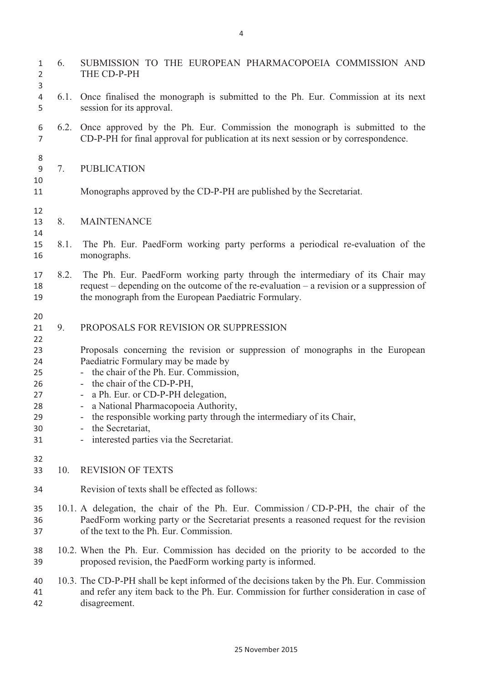| 1<br>2<br>3                                                          | 6.   | SUBMISSION TO THE EUROPEAN PHARMACOPOEIA COMMISSION AND<br>THE CD-P-PH                                                                                                                                                                                                                                                                                                                                                                                                                          |
|----------------------------------------------------------------------|------|-------------------------------------------------------------------------------------------------------------------------------------------------------------------------------------------------------------------------------------------------------------------------------------------------------------------------------------------------------------------------------------------------------------------------------------------------------------------------------------------------|
| 4<br>5                                                               | 6.1. | Once finalised the monograph is submitted to the Ph. Eur. Commission at its next<br>session for its approval.                                                                                                                                                                                                                                                                                                                                                                                   |
| 6<br>7                                                               |      | 6.2. Once approved by the Ph. Eur. Commission the monograph is submitted to the<br>CD-P-PH for final approval for publication at its next session or by correspondence.                                                                                                                                                                                                                                                                                                                         |
| 8<br>9<br>10<br>11                                                   | 7.   | <b>PUBLICATION</b><br>Monographs approved by the CD-P-PH are published by the Secretariat.                                                                                                                                                                                                                                                                                                                                                                                                      |
| 12<br>13<br>14<br>15<br>16                                           | 8.   | <b>MAINTENANCE</b>                                                                                                                                                                                                                                                                                                                                                                                                                                                                              |
|                                                                      | 8.1. | The Ph. Eur. PaedForm working party performs a periodical re-evaluation of the<br>monographs.                                                                                                                                                                                                                                                                                                                                                                                                   |
| 17<br>18<br>19                                                       | 8.2. | The Ph. Eur. PaedForm working party through the intermediary of its Chair may<br>request – depending on the outcome of the re-evaluation – a revision or a suppression of<br>the monograph from the European Paediatric Formulary.                                                                                                                                                                                                                                                              |
| 20<br>21<br>22<br>23<br>24<br>25<br>26<br>27<br>28<br>29<br>30<br>31 | 9.   | PROPOSALS FOR REVISION OR SUPPRESSION<br>Proposals concerning the revision or suppression of monographs in the European<br>Paediatric Formulary may be made by<br>- the chair of the Ph. Eur. Commission,<br>- the chair of the CD-P-PH,<br>a Ph. Eur. or CD-P-PH delegation,<br>$\overline{\phantom{a}}$<br>- a National Pharmacopoeia Authority,<br>- the responsible working party through the intermediary of its Chair,<br>- the Secretariat,<br>- interested parties via the Secretariat. |
| 32<br>33                                                             | 10.  | <b>REVISION OF TEXTS</b>                                                                                                                                                                                                                                                                                                                                                                                                                                                                        |
| 34                                                                   |      | Revision of texts shall be effected as follows:                                                                                                                                                                                                                                                                                                                                                                                                                                                 |
| 35<br>36<br>37                                                       |      | 10.1. A delegation, the chair of the Ph. Eur. Commission / CD-P-PH, the chair of the<br>PaedForm working party or the Secretariat presents a reasoned request for the revision<br>of the text to the Ph. Eur. Commission.                                                                                                                                                                                                                                                                       |
| 38<br>39                                                             |      | 10.2. When the Ph. Eur. Commission has decided on the priority to be accorded to the<br>proposed revision, the PaedForm working party is informed.                                                                                                                                                                                                                                                                                                                                              |
| 40<br>41<br>42                                                       |      | 10.3. The CD-P-PH shall be kept informed of the decisions taken by the Ph. Eur. Commission<br>and refer any item back to the Ph. Eur. Commission for further consideration in case of<br>disagreement.                                                                                                                                                                                                                                                                                          |